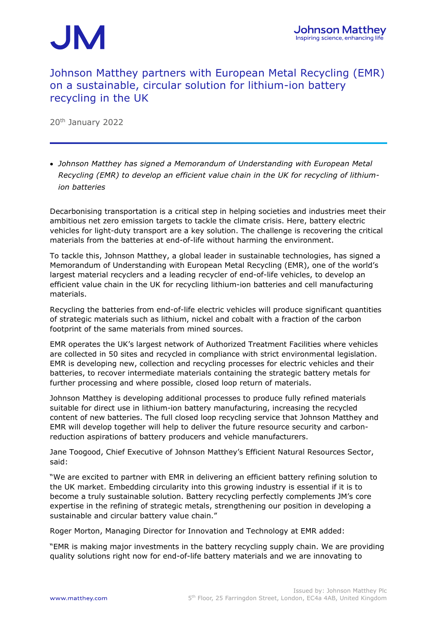# JM

### Johnson Matthey partners with European Metal Recycling (EMR) on a sustainable, circular solution for lithium-ion battery recycling in the UK

20th January 2022

• *Johnson Matthey has signed a Memorandum of Understanding with European Metal Recycling (EMR) to develop an efficient value chain in the UK for recycling of lithiumion batteries*

Decarbonising transportation is a critical step in helping societies and industries meet their ambitious net zero emission targets to tackle the climate crisis. Here, battery electric vehicles for light-duty transport are a key solution. The challenge is recovering the critical materials from the batteries at end-of-life without harming the environment.

To tackle this, Johnson Matthey, a global leader in sustainable technologies, has signed a Memorandum of Understanding with European Metal Recycling (EMR), one of the world's largest material recyclers and a leading recycler of end-of-life vehicles, to develop an efficient value chain in the UK for recycling lithium-ion batteries and cell manufacturing materials.

Recycling the batteries from end-of-life electric vehicles will produce significant quantities of strategic materials such as lithium, nickel and cobalt with a fraction of the carbon footprint of the same materials from mined sources.

EMR operates the UK's largest network of Authorized Treatment Facilities where vehicles are collected in 50 sites and recycled in compliance with strict environmental legislation. EMR is developing new, collection and recycling processes for electric vehicles and their batteries, to recover intermediate materials containing the strategic battery metals for further processing and where possible, closed loop return of materials.

Johnson Matthey is developing additional processes to produce fully refined materials suitable for direct use in lithium-ion battery manufacturing, increasing the recycled content of new batteries. The full closed loop recycling service that Johnson Matthey and EMR will develop together will help to deliver the future resource security and carbonreduction aspirations of battery producers and vehicle manufacturers.

Jane Toogood, Chief Executive of Johnson Matthey's Efficient Natural Resources Sector, said:

"We are excited to partner with EMR in delivering an efficient battery refining solution to the UK market. Embedding circularity into this growing industry is essential if it is to become a truly sustainable solution. Battery recycling perfectly complements JM's core expertise in the refining of strategic metals, strengthening our position in developing a sustainable and circular battery value chain."

Roger Morton, Managing Director for Innovation and Technology at EMR added:

"EMR is making major investments in the battery recycling supply chain. We are providing quality solutions right now for end-of-life battery materials and we are innovating to